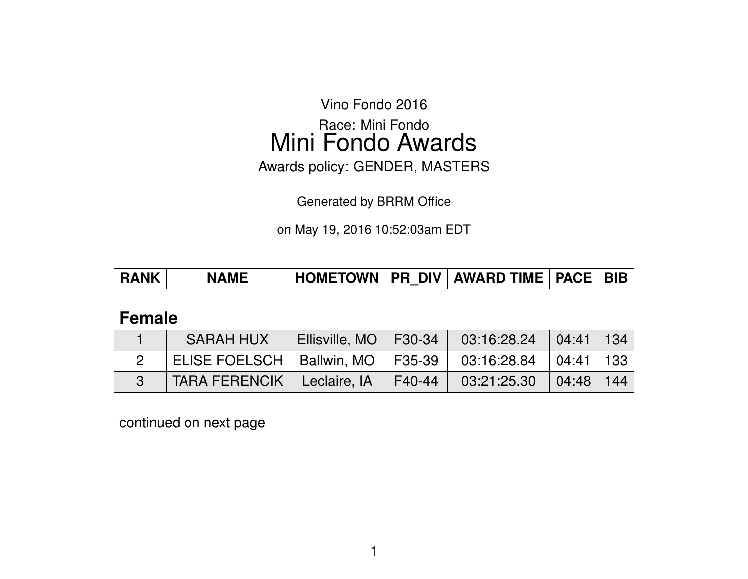Vino Fondo 2016

Race: Mini Fondo Mini Fondo Awards

Awards policy: GENDER, MASTERS

Generated by BRRM Office

on May 19, 2016 10:52:03am EDT

| <b>RANK</b> | <b>NAMF</b> |  |  | 「HOMETOWN   PR_DIV   AWARD TIME   PACE   BIB_ |  |  |
|-------------|-------------|--|--|-----------------------------------------------|--|--|
|-------------|-------------|--|--|-----------------------------------------------|--|--|

## **Female**

| <b>SARAH HUX</b>                     | Ellisville, MO   F30-34 |        | 03:16:28.24 | $\vert 04:41 \vert 134 \vert$ |     |
|--------------------------------------|-------------------------|--------|-------------|-------------------------------|-----|
| ELISE FOELSCH   Ballwin, MO   F35-39 |                         |        | 03:16:28.84 | $\vert$ 04:41   133           |     |
| <b>TARA FERENCIK</b>                 | Leclaire, IA            | F40-44 | 03:21:25.30 | $\bigcup$ 04:48               | 144 |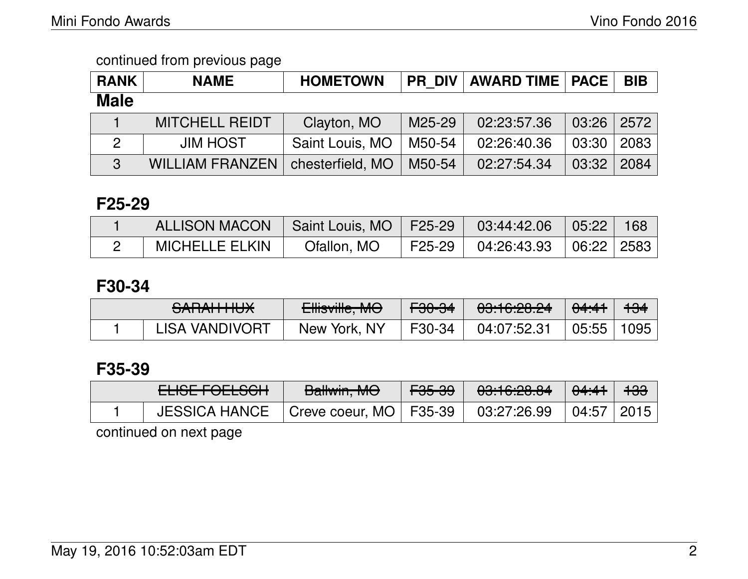| <b>RANK</b>   | <b>NAME</b>            | <b>HOMETOWN</b>  |        | <b>PR DIV   AWARD TIME   PACE</b> |                | <b>BIB</b> |
|---------------|------------------------|------------------|--------|-----------------------------------|----------------|------------|
| <b>Male</b>   |                        |                  |        |                                   |                |            |
|               | <b>MITCHELL REIDT</b>  | Clayton, MO      | M25-29 | 02:23:57.36                       | $03:26$   2572 |            |
| $\mathcal{P}$ | <b>JIM HOST</b>        | Saint Louis, MO  | M50-54 | 02:26:40.36                       | 03:30          | 2083       |
| $\mathbf{3}$  | <b>WILLIAM FRANZEN</b> | chesterfield, MO | M50-54 | 02:27:54.34                       | 03:32          | 2084       |

## **F25-29**

| <b>ALLISON MACON</b>  | Saint Louis, MO   F25-29   03:44:42.06 |                    | 05:22                           | 168 |
|-----------------------|----------------------------------------|--------------------|---------------------------------|-----|
| <b>MICHELLE ELKIN</b> | Ofallon, MO                            | F25-29 04:26:43.93 | $\mid$ 06:22 $\mid$ 2583 $\mid$ |     |

# **F30-34**

| CADALLILIV<br><del>סטונותו וו</del> אס | $\Gamma$ Iliaville $\Lambda/\Lambda$<br><b>CHISVING, IVIO</b> | <del>F30-34</del> | <u>,00.10.00 01</u><br><del>00.10.20.24</del> | 04:41 | <del>134</del> |
|----------------------------------------|---------------------------------------------------------------|-------------------|-----------------------------------------------|-------|----------------|
| <b>LISA VANDIVORT</b>                  | New York, NY                                                  | F30-34            | 04:07:52.31                                   | 05:55 | 1095           |

# **F35-39**

| <b>ELIOF FAFLOQU</b><br><b>LLIOL I VLLJVII</b>         | D<br><b>Daliwin, MC</b> | <del>F35-39</del> | 0.100000<br>00.TU.ZU.OT | <del>04:41</del> | <del>133</del> |
|--------------------------------------------------------|-------------------------|-------------------|-------------------------|------------------|----------------|
| JESSICA HANCE   Creve coeur, MO   F35-39   03:27:26.99 |                         |                   |                         | 04:57   2015     |                |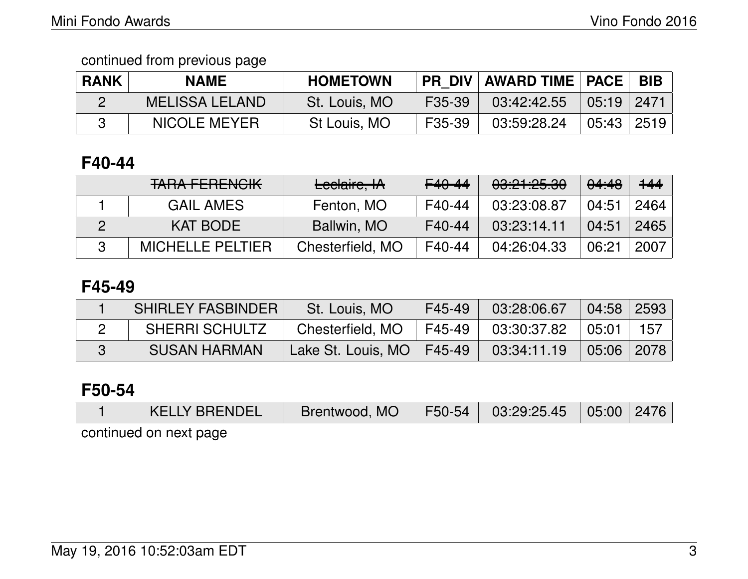| <b>RANK</b> | <b>NAME</b>           | <b>HOMETOWN</b> | PR DIV | <b>AWARD TIME   PACE  </b> |              | $^{\prime}$ BIB. |
|-------------|-----------------------|-----------------|--------|----------------------------|--------------|------------------|
|             | <b>MELISSA LELAND</b> | St. Louis, MO   | F35-39 | $03:42:42.55$ 05:19 2471   |              |                  |
|             | NICOLE MEYER          | St Louis, MO    | F35-39 | 03:59:28.24                | 05:43   2519 |                  |

# **F40-44**

| <b>TARA FERENCIK</b>    | Leclaire, IA     | F40-44 | 03:21:25.30 | 04:48 | $+44$ |
|-------------------------|------------------|--------|-------------|-------|-------|
| <b>GAIL AMES</b>        | Fenton, MO       | F40-44 | 03:23:08.87 | 04:51 | 2464  |
| <b>KAT BODE</b>         | Ballwin, MO      | F40-44 | 03:23:14.11 | 04:51 | 2465  |
| <b>MICHELLE PELTIER</b> | Chesterfield, MO | F40-44 | 04:26:04.33 | 06:21 | 2007  |

## **F45-49**

| <b>SHIRLEY FASBINDER</b> | St. Louis, MO               | F45-49               | 03:28:06.67                                                          | $\mid$ 04:58 $\mid$ 2593 $\mid$ |  |
|--------------------------|-----------------------------|----------------------|----------------------------------------------------------------------|---------------------------------|--|
| <b>SHERRI SCHULTZ</b>    | Chesterfield, MO            | $\mid$ F45-49 $\mid$ | $\begin{array}{ c c }\hline \text{03:30:37.82} \\\hline \end{array}$ | 05:01   157                     |  |
| I SUSAN HARMANI          | Lake St. Louis, MO   F45-49 |                      | 03:34:11.19                                                          | $\mid$ 05:06 $\mid$ 2078 $\mid$ |  |

## **F50-54**

| <b>KELLY BRENDEL</b>   | Brentwood, MO |  |  |
|------------------------|---------------|--|--|
| continued on next page |               |  |  |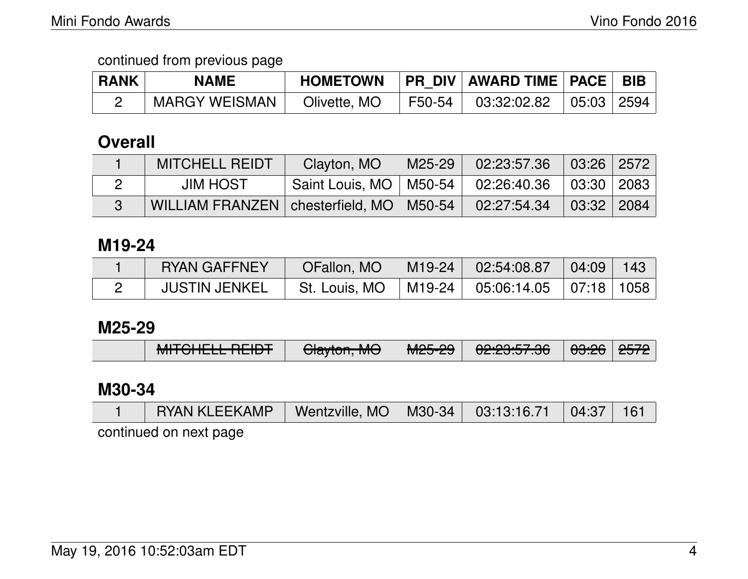| <b>RANK</b> | <b>NAME</b>          | <b>HOMETOWN</b> | <b>PR DIV AWARD TIME PACE</b>          |                                    | <b>BIB</b> |
|-------------|----------------------|-----------------|----------------------------------------|------------------------------------|------------|
|             | <b>MARGY WEISMAN</b> | Olivette, MO    | $\perp$ F50-54 $\parallel$ 03:32:02.82 | $\vert$ 05:03 $\vert$ 2594 $\vert$ |            |

## **Overall**

| <b>MITCHELL REIDT</b>                                     | Clayton, MO                                           | $\mid$ M25-29 $\mid$ 02:23:57.36 $\mid$ | $\mid$ 03:26 2572 |  |
|-----------------------------------------------------------|-------------------------------------------------------|-----------------------------------------|-------------------|--|
| JIM HOST                                                  | Saint Louis, MO   M50-54   02:26:40.36   03:30   2083 |                                         |                   |  |
| WILLIAM FRANZEN   chesterfield, MO   M50-54   02:27:54.34 |                                                       |                                         | 03:32 2084        |  |

## **M19-24**

| <b>RYAN GAFFNEY</b>  | OFallon, MO          | $\parallel$ M19-24 $\parallel$ 02:54:08.87 $\parallel$ | $\parallel$ 04:09 $\parallel$ | $\backslash$ 143 |
|----------------------|----------------------|--------------------------------------------------------|-------------------------------|------------------|
| <b>JUSTIN JENKEL</b> | <b>St. Louis, MO</b> | $\mid$ M19-24 $\mid$ 05:06:14.05 $\mid$ 07:18   1058   |                               |                  |

#### **M25-29**

|  | MITAULI DEIDT<br><del>MITULELE REIDT</del> | $\bigcap_{n=1}^{\infty}$ $\bigcup_{n=1}^{\infty}$<br><del>Ulaytun, MU</del> | $MOC$ $OC$<br><b>MIZJ-ZJ</b> | 0.0005700<br><del>טב.בט.טו .טט</del> | <sup>∣</sup> <del>03:26</del> ∣ <del>2572</del> l |  |
|--|--------------------------------------------|-----------------------------------------------------------------------------|------------------------------|--------------------------------------|---------------------------------------------------|--|
|--|--------------------------------------------|-----------------------------------------------------------------------------|------------------------------|--------------------------------------|---------------------------------------------------|--|

## **M30-34**

| RYAN KLEEKAMP   Wentzville, MO   M30-34   03:13:16.71   04:37   161 |  |  |  |
|---------------------------------------------------------------------|--|--|--|
| continued on next page                                              |  |  |  |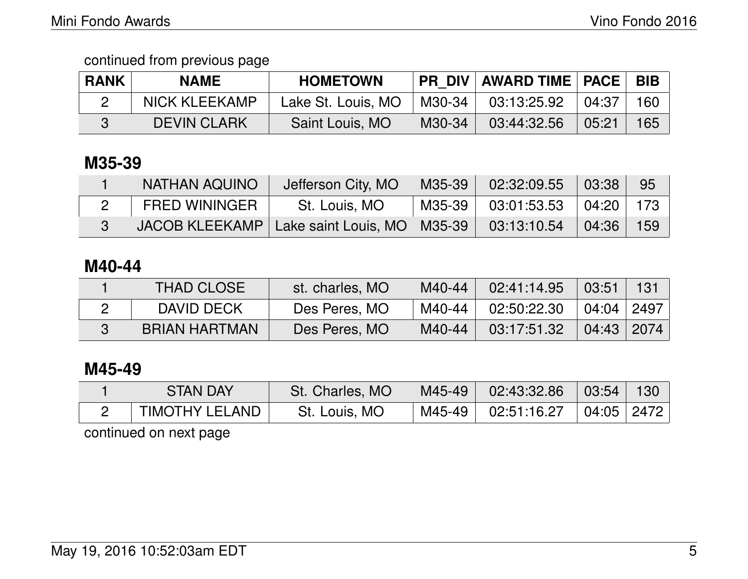| <b>RANK</b> | <b>NAME</b>        | <b>HOMETOWN</b>    |        | <b>PR DIV AWARD TIME PACE</b> |                   | <b>BIB</b> |
|-------------|--------------------|--------------------|--------|-------------------------------|-------------------|------------|
|             | NICK KLEEKAMP      | Lake St. Louis, MO | M30-34 | 03:13:25.92                   | $\mid 04:37 \mid$ | 160        |
|             | <b>DEVIN CLARK</b> | Saint Louis, MO    | M30-34 | 03:44:32.56                   | 05:21             | 165        |

## **M35-39**

| <b>NATHAN AQUINO</b> | Jefferson City, MO                             | M35-39   | $02:32:09.55$ 03:38       | 95  |
|----------------------|------------------------------------------------|----------|---------------------------|-----|
| FRED WININGER        | St. Louis, MO                                  | M35-39 l | $03:01:53.53$ $04:20$ 173 |     |
|                      | JACOB KLEEKAMP   Lake saint Louis, MO   M35-39 |          | $03:13:10.54$ 04:36       | 159 |

### **M40-44**

| <b>THAD CLOSE</b>    | st. charles, MO | M40-44 | 02:41:14.95 | 03:51        | 131  |
|----------------------|-----------------|--------|-------------|--------------|------|
| DAVID DECK           | Des Peres, MO   | M40-44 | 02:50:22.30 | 04:04   2497 |      |
| <b>BRIAN HARTMAN</b> | Des Peres, MO   | M40-44 | 03:17:51.32 | 04:43        | 2074 |

# **M45-49**

| <b>STAN DAY</b> | St. Charles, MO | M45-49   |                                                         | 130 |
|-----------------|-----------------|----------|---------------------------------------------------------|-----|
| TIMOTHY LELAND  | St. Louis, MO   | M45-49 l | $02:51:16.27$ $\;\mid$ $04:05$ $\;\mid$ $2472$ $\;\mid$ |     |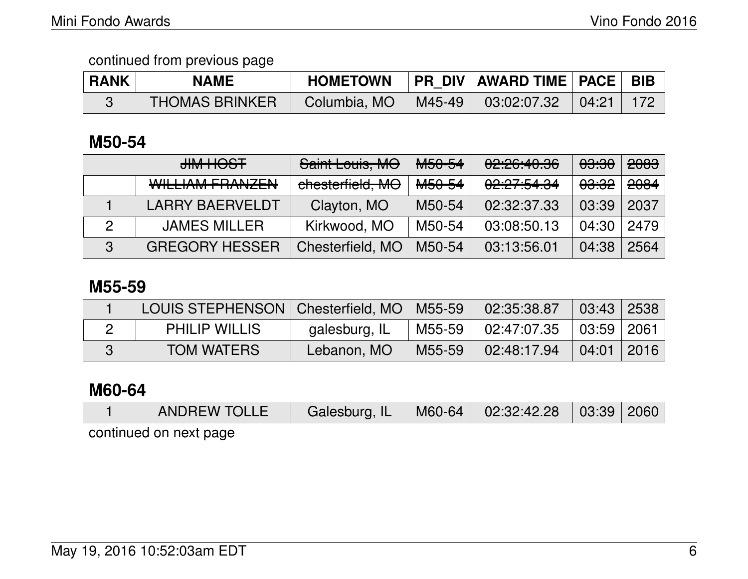| <b>RANK</b> | <b>NAME</b>           | <b>HOMETOWN</b> |        | <b>PR DIV AWARD TIME PACE</b> |       | <b>BIB</b> |
|-------------|-----------------------|-----------------|--------|-------------------------------|-------|------------|
|             | <b>THOMAS BRINKER</b> | Columbia, MO    | M45-49 | 03:02:07.32                   | 04:21 | -172       |

## **M50-54**

|   | HOST MHU                                                      | Saint Louis, MO  | <b>M50-54</b>      | 02:26:40.36 | <del>03:30</del> | <del>2083</del> |
|---|---------------------------------------------------------------|------------------|--------------------|-------------|------------------|-----------------|
|   | <u><i><u>MILLIAM EDANIZEN</u></i></u><br>VVILLIAIVI TUAIVALIV | chesterfield, MO | M <sub>50-54</sub> | 02:27:54.34 | <del>03:32</del> | <del>2084</del> |
|   | <b>LARRY BAERVELDT</b>                                        | Clayton, MO      | M50-54             | 02:32:37.33 | 03:39            | 2037            |
|   | <b>JAMES MILLER</b>                                           | Kirkwood, MO     | M50-54             | 03:08:50.13 | 04:30            | 2479            |
| 3 | <b>GREGORY HESSER</b>                                         | Chesterfield, MO | M50-54             | 03:13:56.01 | 04:38            | 2564            |

#### **M55-59**

| LOUIS STEPHENSON   Chesterfield, MO   M55-59 |               |        | 02:35:38.87 | $\mid$ 03:43 $\mid$ 2538 $\mid$ |  |
|----------------------------------------------|---------------|--------|-------------|---------------------------------|--|
| <b>PHILIP WILLIS</b>                         | galesburg, IL | M55-59 | 02:47:07.35 | $\mid$ 03:59 $\mid$ 2061 $\mid$ |  |
| <b>TOM WATERS</b>                            | Lebanon, MO   | M55-59 | 02:48:17.94 | $\mid$ 04:01 $\mid$ 2016 $\mid$ |  |

### **M60-64**

|                                        | ANDREW TOLLE   Galesburg, IL   M60-64   02:32:42.28   03:39   2060 |  |  |  |  |  |  |  |  |
|----------------------------------------|--------------------------------------------------------------------|--|--|--|--|--|--|--|--|
| المتملم مزيان بمرمز المتحدد والمستلمية |                                                                    |  |  |  |  |  |  |  |  |